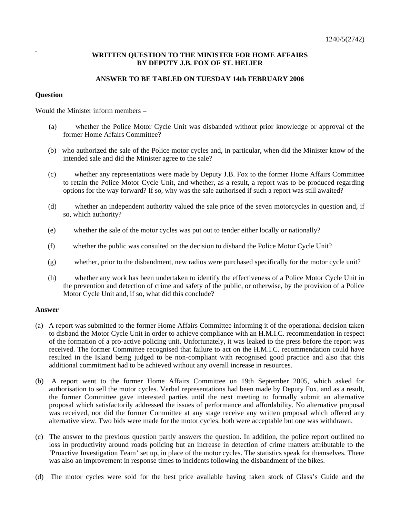## **WRITTEN QUESTION TO THE MINISTER FOR HOME AFFAIRS BY DEPUTY J.B. FOX OF ST. HELIER**

## **ANSWER TO BE TABLED ON TUESDAY 14th FEBRUARY 2006**

## **Question**

Would the Minister inform members –

- (a) whether the Police Motor Cycle Unit was disbanded without prior knowledge or approval of the former Home Affairs Committee?
- (b) who authorized the sale of the Police motor cycles and, in particular, when did the Minister know of the intended sale and did the Minister agree to the sale?
- (c) whether any representations were made by Deputy J.B. Fox to the former Home Affairs Committee to retain the Police Motor Cycle Unit, and whether, as a result, a report was to be produced regarding options for the way forward? If so, why was the sale authorised if such a report was still awaited?
- (d) whether an independent authority valued the sale price of the seven motorcycles in question and, if so, which authority?
- (e) whether the sale of the motor cycles was put out to tender either locally or nationally?
- (f) whether the public was consulted on the decision to disband the Police Motor Cycle Unit?
- (g) whether, prior to the disbandment, new radios were purchased specifically for the motor cycle unit?
- (h) whether any work has been undertaken to identify the effectiveness of a Police Motor Cycle Unit in the prevention and detection of crime and safety of the public, or otherwise, by the provision of a Police Motor Cycle Unit and, if so, what did this conclude?

## **Answer**

- (a) A report was submitted to the former Home Affairs Committee informing it of the operational decision taken to disband the Motor Cycle Unit in order to achieve compliance with an H.M.I.C. recommendation in respect of the formation of a pro-active policing unit. Unfortunately, it was leaked to the press before the report was received. The former Committee recognised that failure to act on the H.M.I.C. recommendation could have resulted in the Island being judged to be non-compliant with recognised good practice and also that this additional commitment had to be achieved without any overall increase in resources.
- (b) A report went to the former Home Affairs Committee on 19th September 2005, which asked for authorisation to sell the motor cycles. Verbal representations had been made by Deputy Fox, and as a result, the former Committee gave interested parties until the next meeting to formally submit an alternative proposal which satisfactorily addressed the issues of performance and affordability. No alternative proposal was received, nor did the former Committee at any stage receive any written proposal which offered any alternative view. Two bids were made for the motor cycles, both were acceptable but one was withdrawn.
- (c) The answer to the previous question partly answers the question. In addition, the police report outlined no loss in productivity around roads policing but an increase in detection of crime matters attributable to the 'Proactive Investigation Team' set up, in place of the motor cycles. The statistics speak for themselves. There was also an improvement in response times to incidents following the disbandment of the bikes.
- (d) The motor cycles were sold for the best price available having taken stock of Glass's Guide and the